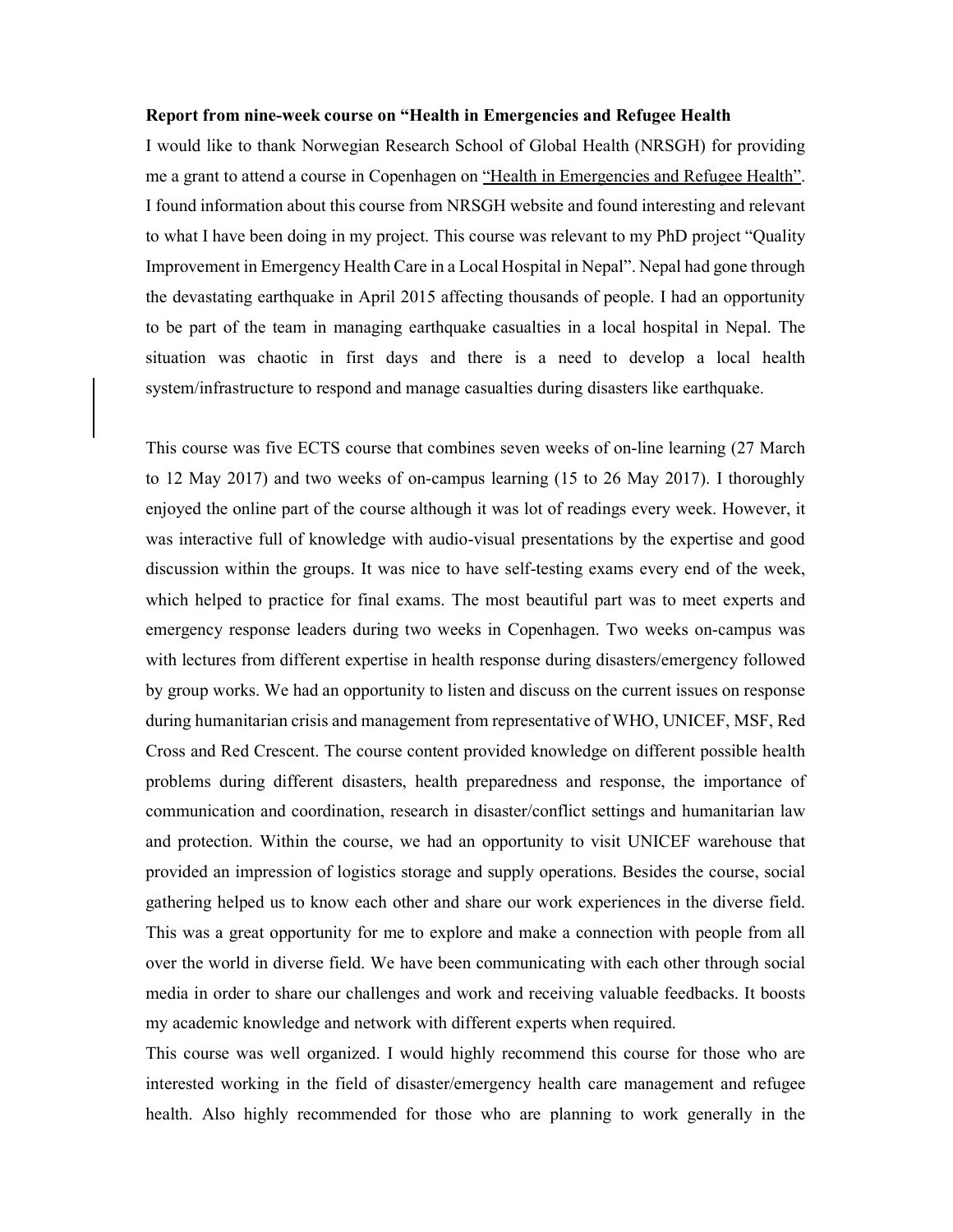## Report from nine-week course on "Health in Emergencies and Refugee Health

I would like to thank Norwegian Research School of Global Health (NRSGH) for providing me a grant to attend a course in Copenhagen on <u>"Health in Emergencies and Refugee Health"</u>. I found information about this course from NRSGH website and found interesting and relevant to what I have been doing in my project. This course was relevant to my PhD project "Quality Improvement in Emergency Health Care in a Local Hospital in Nepal". Nepal had gone through the devastating earthquake in April 2015 affecting thousands of people. I had an opportunity to be part of the team in managing earthquake casualties in a local hospital in Nepal. The situation was chaotic in first days and there is a need to develop a local health system/infrastructure to respond and manage casualties during disasters like earthquake.

This course was five ECTS course that combines seven weeks of on-line learning (27 March to 12 May 2017) and two weeks of on-campus learning (15 to 26 May 2017). I thoroughly enjoyed the online part of the course although it was lot of readings every week. However, it was interactive full of knowledge with audio-visual presentations by the expertise and good discussion within the groups. It was nice to have self-testing exams every end of the week, which helped to practice for final exams. The most beautiful part was to meet experts and emergency response leaders during two weeks in Copenhagen. Two weeks on-campus was with lectures from different expertise in health response during disasters/emergency followed by group works. We had an opportunity to listen and discuss on the current issues on response during humanitarian crisis and management from representative of WHO, UNICEF, MSF, Red Cross and Red Crescent. The course content provided knowledge on different possible health problems during different disasters, health preparedness and response, the importance of communication and coordination, research in disaster/conflict settings and humanitarian law and protection. Within the course, we had an opportunity to visit UNICEF warehouse that provided an impression of logistics storage and supply operations. Besides the course, social gathering helped us to know each other and share our work experiences in the diverse field. This was a great opportunity for me to explore and make a connection with people from all over the world in diverse field. We have been communicating with each other through social media in order to share our challenges and work and receiving valuable feedbacks. It boosts my academic knowledge and network with different experts when required.

This course was well organized. I would highly recommend this course for those who are interested working in the field of disaster/emergency health care management and refugee health. Also highly recommended for those who are planning to work generally in the